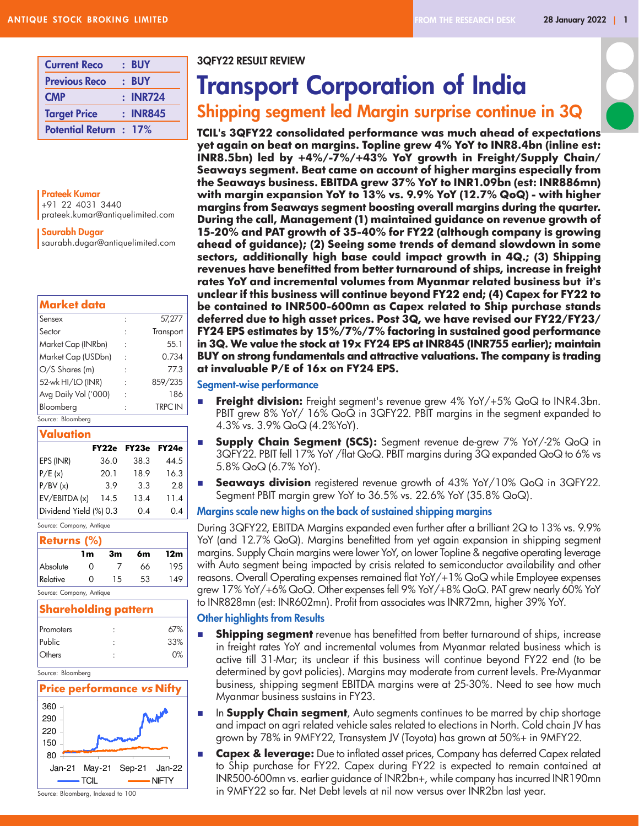| <b>Current Reco</b>           | $:$ BUY  |
|-------------------------------|----------|
| <b>Previous Reco</b>          | $:$ BUY  |
| <b>CMP</b>                    | : INR724 |
| <b>Target Price</b>           | : INR845 |
| <b>Potential Return : 17%</b> |          |

Prateek Kumar +91 22 4031 3440 prateek.kumar@antiquelimited.com

### Saurabh Dugar

saurabh.dugar@antiquelimited.com

| Market data          |                |
|----------------------|----------------|
| Sensex               | 57,277         |
| Sector               | Transport      |
| Market Cap (INRbn)   | 55.1           |
| Market Cap (USDbn)   | 0.734          |
| $O/S$ Shares (m)     | 77.3           |
| 52-wk HI/LO (INR)    | 859/235        |
| Avg Daily Vol ('000) | 186            |
| Bloomberg            | <b>TRPC IN</b> |
| Source: Bloomberg    |                |

### Valuation

|                        | FY22e | FY23e | FY24e |
|------------------------|-------|-------|-------|
| EPS (INR)              | 36.0  | 38.3  | 44.5  |
| P/E(x)                 | 20.1  | 18.9  | 16.3  |
| P/BV(x)                | 3.9   | 3.3   | 2.8   |
| EV/EBITDA (x)          | 14.5  | 13.4  | 11.4  |
| Dividend Yield (%) 0.3 |       | 0.4   | 0.4   |

Source: Company, Antique

| <b>Returns (%)</b> |    |    |    |     |  |  |  |
|--------------------|----|----|----|-----|--|--|--|
|                    | 1m | 3m | 6m | 12m |  |  |  |
| Absolute           | Ω  |    | 66 | 195 |  |  |  |
| Relative           | ∩  | 15 | 53 | 149 |  |  |  |

Source: Company, Antique

### Shareholding pattern

| Promoters     | 67% |
|---------------|-----|
| Public        | 33% |
| <b>Others</b> | 0%  |

Source: Bloomberg



Source: Bloomberg, Indexed to 100

### 3QFY22 RESULT REVIEW

# Transport Corporation of India

## Shipping segment led Margin surprise continue in 3Q

TCIL's 3QFY22 consolidated performance was much ahead of expectations yet again on beat on margins. Topline grew 4% YoY to INR8.4bn (inline est: INR8.5bn) led by +4%/-7%/+43% YoY growth in Freight/Supply Chain/ Seaways segment. Beat came on account of higher margins especially from the Seaways business. EBITDA grew 37% YoY to INR1.09bn (est: INR886mn) with margin expansion YoY to 13% vs. 9.9% YoY (12.7% QoQ) - with higher margins from Seaways segment boosting overall margins during the quarter. During the call, Management (1) maintained guidance on revenue growth of 15-20% and PAT growth of 35-40% for FY22 (although company is growing ahead of guidance); (2) Seeing some trends of demand slowdown in some sectors, additionally high base could impact growth in 4Q.; (3) Shipping revenues have benefitted from better turnaround of ships, increase in freight rates YoY and incremental volumes from Myanmar related business but it's unclear if this business will continue beyond FY22 end; (4) Capex for FY22 to be contained to INR500-600mn as Capex related to Ship purchase stands deferred due to high asset prices. Post 3Q, we have revised our FY22/FY23/ FY24 EPS estimates by 15%/7%/7% factoring in sustained good performance in 3Q. We value the stock at 19x FY24 EPS at INR845 (INR755 earlier); maintain BUY on strong fundamentals and attractive valuations. The company is trading at invaluable P/E of 16x on FY24 EPS.

### Segment-wise performance

- **Freight division:** Freight segment's revenue grew  $4\%$  YoY/+5% QoQ to INR4.3bn. PBIT grew 8% YoY/ 16% QoQ in 3QFY22. PBIT margins in the segment expanded to 4.3% vs. 3.9% QoQ (4.2%YoY).
	- **Supply Chain Segment (SCS):** Segment revenue de-grew 7% YoY/-2% QoQ in 3QFY22. PBIT fell 17% YoY /flat QoQ. PBIT margins during 3Q expanded QoQ to 6% vs 5.8% QoQ (6.7% YoY).
- **Beaways division** registered revenue growth of 43% YoY/10% QoQ in 3QFY22. Segment PBIT margin grew YoY to 36.5% vs. 22.6% YoY (35.8% QoQ).

### Margins scale new highs on the back of sustained shipping margins

During 3QFY22, EBITDA Margins expanded even further after a brilliant 2Q to 13% vs. 9.9% YoY (and 12.7% QoQ). Margins benefitted from yet again expansion in shipping segment margins. Supply Chain margins were lower YoY, on lower Topline & negative operating leverage with Auto segment being impacted by crisis related to semiconductor availability and other reasons. Overall Operating expenses remained flat YoY/+1% QoQ while Employee expenses grew 17% YoY/+6% QoQ. Other expenses fell 9% YoY/+8% QoQ. PAT grew nearly 60% YoY to INR828mn (est: INR602mn). Profit from associates was INR72mn, higher 39% YoY.

### Other highlights from Results

- **n Shipping segment** revenue has benefitted from better turnaround of ships, increase in freight rates YoY and incremental volumes from Myanmar related business which is active till 31-Mar; its unclear if this business will continue beyond FY22 end (to be determined by govt policies). Margins may moderate from current levels. Pre-Myanmar business, shipping segment EBITDA margins were at 25-30%. Need to see how much Myanmar business sustains in FY23.
- **n In Supply Chain segment**, Auto segments continues to be marred by chip shortage and impact on agri related vehicle sales related to elections in North. Cold chain JV has grown by 78% in 9MFY22, Transystem JV (Toyota) has grown at 50%+ in 9MFY22.
- **n Capex & leverage:** Due to inflated asset prices, Company has deferred Capex related to Ship purchase for FY22. Capex during FY22 is expected to remain contained at INR500-600mn vs. earlier guidance of INR2bn+, while company has incurred INR190mn in 9MFY22 so far. Net Debt levels at nil now versus over INR2bn last year.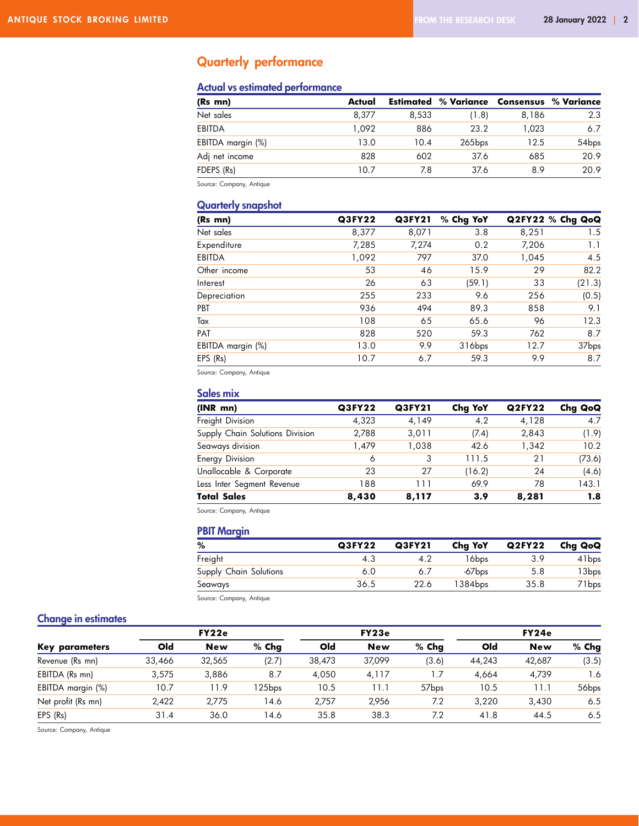## Quarterly performance

### Actual vs estimated performance

| (Rs mn)           | Actual |       | <b>Estimated % Variance Consensus % Variance</b> |       |                   |
|-------------------|--------|-------|--------------------------------------------------|-------|-------------------|
| Net sales         | 8.377  | 8.533 | (1.8)                                            | 8.186 | 2.3               |
| EBITDA            | 1.092  | 886   | 23.2                                             | 1.023 | 6.7               |
| EBITDA margin (%) | 13.0   | 10.4  | $265$ bps                                        | 12.5  | 54 <sub>bps</sub> |
| Adj net income    | 828    | 602   | 37.6                                             | 685   | 20.9              |
| FDEPS (Rs)        | 10.7   | 7.8   | 37.6                                             | 8.9   | 20.9              |

Source: Company, Antique

### Quarterly snapshot

| (Rs mn)           | Q3FY22 | Q3FY21 | % Chg YoY          |       | Q2FY22 % Chg QoQ |
|-------------------|--------|--------|--------------------|-------|------------------|
| Net sales         | 8,377  | 8,071  | 3.8                | 8,251 | 1.5              |
| Expenditure       | 7,285  | 7,274  | 0.2                | 7,206 | 1.1              |
| EBITDA            | 1,092  | 797    | 37.0               | 1,045 | 4.5              |
| Other income      | 53     | 46     | 15.9               | 29    | 82.2             |
| Interest          | 26     | 63     | (59.1)             | 33    | (21.3)           |
| Depreciation      | 255    | 233    | 9.6                | 256   | (0.5)            |
| PBT               | 936    | 494    | 89.3               | 858   | 9.1              |
| Tax               | 108    | 65     | 65.6               | 96    | 12.3             |
| <b>PAT</b>        | 828    | 520    | 59.3               | 762   | 8.7              |
| EBITDA margin (%) | 13.0   | 9.9    | 316 <sub>bps</sub> | 12.7  | 37bps            |
| EPS (Rs)          | 10.7   | 6.7    | 59.3               | 9.9   | 8.7              |

Source: Company, Antique

### Sales mix

| (INR mn)                        | Q3FY22 | Q3FY21 | Cha YoY | <b>Q2FY22</b> | Chg QoQ |
|---------------------------------|--------|--------|---------|---------------|---------|
| Freight Division                | 4.323  | 4,149  | 4.2     | 4,128         | 4.7     |
| Supply Chain Solutions Division | 2.788  | 3.011  | (7.4)   | 2.843         | (1.9)   |
| Seaways division                | 1.479  | 1.038  | 42.6    | 1.342         | 10.2    |
| <b>Energy Division</b>          | 6      | 3      | 111.5   | 21            | (73.6)  |
| Unallocable & Corporate         | 23     | 27     | (16.2)  | 24            | (4.6)   |
| Less Inter Segment Revenue      | 188    | 111    | 69.9    | 78            | 143.1   |
| <b>Total Sales</b>              | 8,430  | 8,117  | 3.9     | 8,281         | 1.8     |

Source: Company, Antique

### PBIT Margin

| %                      | Q3FY22 | Q3FY21 | Chg YoY              | <b>Q2FY22</b> | Chg QoQ           |
|------------------------|--------|--------|----------------------|---------------|-------------------|
| Freight                | 4.3    |        | 16bps                | 3.9           | 41 <sub>bps</sub> |
| Supply Chain Solutions | 6.0    | 6.7    | $-67$ <sub>bps</sub> | 5.8           | 13bps             |
| Seaways                | 36.5   | 22.6   | 1384bps              | 35.8          | 71 bps            |
|                        |        |        |                      |               |                   |

Source: Company, Antique

### Change in estimates

|                    |        | FY22e      |         |        | FY23e      |                   |        | FY24e      |                   |
|--------------------|--------|------------|---------|--------|------------|-------------------|--------|------------|-------------------|
| Key parameters     | Old    | <b>New</b> | $%$ Chq | Old    | <b>New</b> | $%$ Chq           | Old    | <b>New</b> | $%$ Chg           |
| Revenue (Rs mn)    | 33,466 | 32,565     | (2.7)   | 38,473 | 37.099     | (3.6)             | 44.243 | 42.687     | (3.5)             |
| EBITDA (Rs mn)     | 3.575  | 3.886      | 8.7     | 4.050  | 4.117      | 7. ا              | 4.664  | 4.739      | 1.6               |
| EBITDA margin (%)  | 10.7   | 11.9       | l 25bps | 10.5   | l 1. 1     | 57 <sub>bps</sub> | 10.5   | 11.1       | 56 <sub>bps</sub> |
| Net profit (Rs mn) | 2.422  | 2.775      | 14.6    | 2.757  | 2.956      | 7.2               | 3.220  | 3,430      | 6.5               |
| EPS (Rs)           | 31.4   | 36.0       | 14.6    | 35.8   | 38.3       | 7.2               | 41.8   | 44.5       | 6.5               |

Source: Company, Antique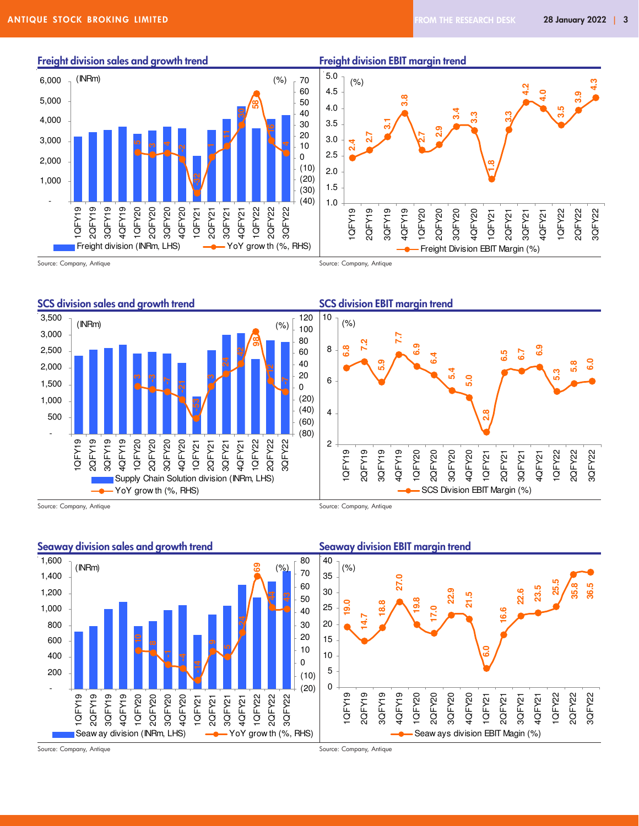၈<br>၁. **4.3**

**4.0**

**3.5**

1QFY22 2QFY22 3QFY22









Source: Company, Antique Source: Company, Antique





Source: Company, Antique Source: Company, Antique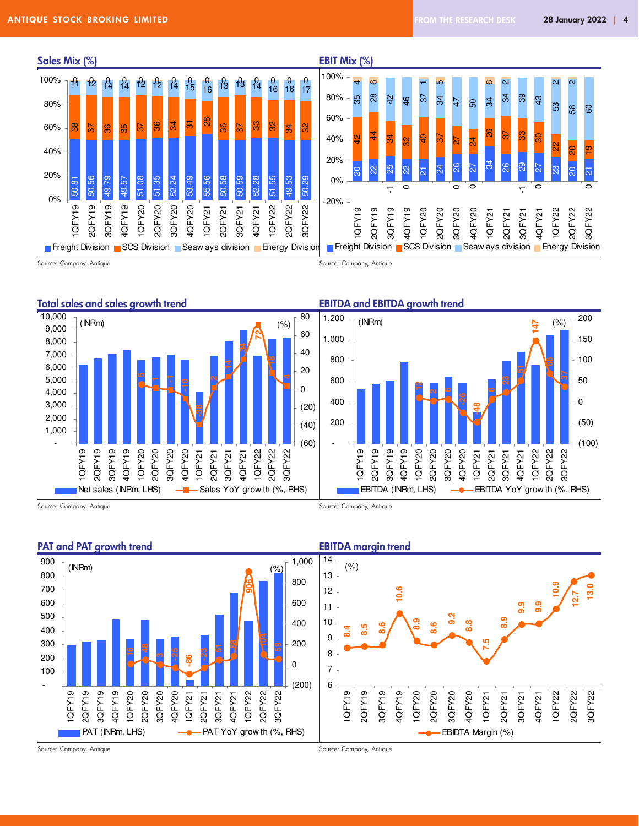

Source: Company, Antique **Source: Company, Antique** Source: Company, Antique





Source: Company, Antique Source: Company, Antique

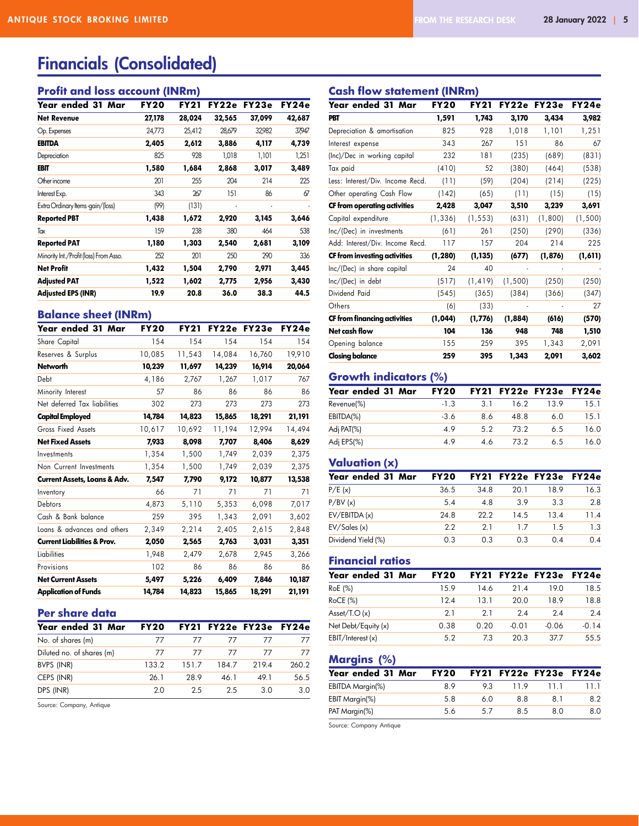## Financials (Consolidated)

### Profit and loss account (INRm)

| Year ended 31 Mar                      | <b>FY20</b> | FY21   | FY22e  | FY23e  | FY24e  |
|----------------------------------------|-------------|--------|--------|--------|--------|
| <b>Net Revenue</b>                     | 27,178      | 28,024 | 32,565 | 37,099 | 42,687 |
| Op. Expenses                           | 24,773      | 25,412 | 28,679 | 32,982 | 37,947 |
| EBITDA                                 | 2,405       | 2,612  | 3,886  | 4,117  | 4,739  |
| Depreciation                           | 825         | 928    | 1,018  | 1,101  | 1,251  |
| EBIT                                   | 1,580       | 1,684  | 2,868  | 3,017  | 3,489  |
| Other income                           | 201         | 255    | 204    | 214    | 225    |
| Interest Exp.                          | 343         | 267    | 151    | 86     | 67     |
| Extra Ordinary Items -gain/(loss)      | (99)        | (131)  | ٠      |        |        |
| <b>Reported PBT</b>                    | 1,438       | 1,672  | 2,920  | 3,145  | 3,646  |
| Tax                                    | 159         | 238    | 380    | 464    | 538    |
| <b>Reported PAT</b>                    | 1,180       | 1,303  | 2,540  | 2,681  | 3,109  |
| Minority Int./Profit (loss) From Asso. | 252         | 201    | 250    | 290    | 336    |
| <b>Net Profit</b>                      | 1,432       | 1,504  | 2,790  | 2,971  | 3,445  |
| <b>Adjusted PAT</b>                    | 1,522       | 1,602  | 2,775  | 2,956  | 3,430  |
| <b>Adjusted EPS (INR)</b>              | 19.9        | 20.8   | 36.0   | 38.3   | 44.5   |

### Balance sheet (INRm)

| Year ended 31 Mar                       | <b>FY20</b> | <b>FY21</b> |        | FY22e FY23e | FY24e  |
|-----------------------------------------|-------------|-------------|--------|-------------|--------|
| Share Capital                           | 154         | 154         | 154    | 154         | 154    |
| Reserves & Surplus                      | 10,085      | 11,543      | 14,084 | 16,760      | 19,910 |
| <b>Networth</b>                         | 10,239      | 11,697      | 14,239 | 16,914      | 20,064 |
| Debt                                    | 4,186       | 2,767       | 1,267  | 1,017       | 767    |
| Minority Interest                       | 57          | 86          | 86     | 86          | 86     |
| Net deferred Tax liabilities            | 302         | 273         | 273    | 273         | 273    |
| <b>Capital Employed</b>                 | 14,784      | 14,823      | 15,865 | 18,291      | 21,191 |
| Gross Fixed Assets                      | 10,617      | 10,692      | 11,194 | 12,994      | 14,494 |
| <b>Net Fixed Assets</b>                 | 7.933       | 8,098       | 7,707  | 8,406       | 8.629  |
| Investments                             | 1,354       | 1,500       | 1,749  | 2,039       | 2,375  |
| Non Current Investments                 | 1,354       | 1,500       | 1,749  | 2,039       | 2,375  |
| <b>Current Assets, Loans &amp; Adv.</b> | 7,547       | 7,790       | 9.172  | 10,877      | 13,538 |
| Inventory                               | 66          | 71          | 71     | 71          | 71     |
| Debtors                                 | 4,873       | 5,110       | 5,353  | 6,098       | 7,017  |
| Cash & Bank balance                     | 259         | 395         | 1.343  | 2,091       | 3,602  |
| Loans & advances and others             | 2,349       | 2,214       | 2,405  | 2,615       | 2,848  |
| <b>Current Liabilities &amp; Prov.</b>  | 2,050       | 2,565       | 2,763  | 3,031       | 3,351  |
| Liabilities                             | 1,948       | 2,479       | 2,678  | 2,945       | 3,266  |
| Provisions                              | 102         | 86          | 86     | 86          | 86     |
| <b>Net Current Assets</b>               | 5,497       | 5,226       | 6,409  | 7,846       | 10,187 |
| <b>Application of Funds</b>             | 14,784      | 14,823      | 15,865 | 18,291      | 21,191 |

### Per share data

| Year ended 31 Mar         | <b>FY20</b> |       |       | FY21 FY22e FY23e FY24e |       |
|---------------------------|-------------|-------|-------|------------------------|-------|
| No. of shares (m)         | 77          | 77    | 77    | 77                     | 77    |
| Diluted no. of shares (m) | 77          | 77    | 77    | 77                     | 77    |
| BVPS (INR)                | 133.2       | 151.7 | 184 7 | 2194                   | 260.2 |
| CEPS (INR)                | 26.1        | 28.9  | 46 1  | 49 1                   | 56.5  |
| DPS (INR)                 | 20          | 25    | 25    | 3 O                    | 3 O   |

Source: Company, Antique

### Cash flow statement (INRm)

| Year ended 31 Mar                | <b>FY20</b> | <b>FY21</b> |                          | FY22e FY23e | FY24e   |
|----------------------------------|-------------|-------------|--------------------------|-------------|---------|
| PBT                              | 1,591       | 1,743       | 3,170                    | 3,434       | 3,982   |
| Depreciation & amortisation      | 825         | 928         | 1,018                    | 1,101       | 1,251   |
| Interest expense                 | 343         | 267         | 151                      | 86          | 67      |
| (Inc)/Dec in working capital     | 232         | 181         | (235)                    | (689)       | (831)   |
| Tax paid                         | (410)       | 52          | (380)                    | (464)       | (538)   |
| Less: Interest/Div. Income Recd. | (11)        | (59)        | (204)                    | (214)       | (225)   |
| Other operating Cash Flow        | (142)       | (65)        | (11)                     | (15)        | (15)    |
| CF from operating activities     | 2,428       | 3,047       | 3,510                    | 3,239       | 3,691   |
| Capital expenditure              | (1, 336)    | (1, 553)    | (631)                    | (1,800)     | (1,500) |
| Inc/(Dec) in investments         | (61)        | 261         | (250)                    | (290)       | (336)   |
| Add: Interest/Div. Income Recd.  | 117         | 157         | 204                      | 214         | 225     |
| CF from investing activities     | (1, 280)    | (1, 135)    | (677)                    | (1, 876)    | (1,611) |
| Inc/(Dec) in share capital       | 24          | 40          |                          |             |         |
| Inc/(Dec) in debt                | (517)       | (1, 419)    | (1,500)                  | (250)       | (250)   |
| Dividend Paid                    | (545)       | (365)       | (384)                    | (366)       | (347)   |
| Others                           | (6)         | (33)        | $\overline{\phantom{a}}$ |             | 27      |
| CF from financing activities     | (1, 044)    | (1,776)     | (1, 884)                 | (616)       | (570)   |
| Net cash flow                    | 104         | 136         | 948                      | 748         | 1,510   |
| Opening balance                  | 155         | 259         | 395                      | 1,343       | 2,091   |
| <b>Closing balance</b>           | 259         | 395         | 1,343                    | 2,091       | 3,602   |

### Growth indicators (%)

| Year ended 31 Mar | <b>FY20</b> |     |      | FY21 FY22e FY23e FY24e |      |
|-------------------|-------------|-----|------|------------------------|------|
| Revenue(%)        | $-1.3$      | 31  | 16.2 | 139                    | 15.1 |
| EBITDA(%)         | $-3.6$      | 8.6 | 48.8 | 6.0                    | 15.1 |
| Adj PAT(%)        | 49          | 52  | 73.2 | 65                     | 16.0 |
| Adj EPS(%)        | 49          | 46  | 73.2 | 65                     | 16.0 |

### Valuation (x)

| Year ended 31 Mar  | <b>FY20</b> |      | FY21 FY22e FY23e |                | FY24e |
|--------------------|-------------|------|------------------|----------------|-------|
| P/E(x)             | 36.5        | 34.8 | 20.1             | 18.9           | 16.3  |
| P/BV(x)            | 5.4         | 4.8  | 39               | 3 <sup>3</sup> | 2.8   |
| EV/EBITDA(x)       | 24.8        | 222  | 14.5             | 13.4           | 11.4  |
| EV/Sales(x)        | 22          | 21   | 17               | 15             | 1.3   |
| Dividend Yield (%) | 0.3         | 0.3  | 0.3              | 0.4            | 0.4   |

### Financial ratios

| Year ended 31 Mar   | <b>FY20</b> |      | <b>FY21 FY22e FY23e</b> |         | FY24e   |
|---------------------|-------------|------|-------------------------|---------|---------|
| RoE (%)             | 159         | 146  | 214                     | 19 O    | 18.5    |
| <b>RoCE (%)</b>     | 124         | 13 1 | 20.0                    | 189     | 18.8    |
| Asset/T.O $(x)$     | 21          | 21   | 24                      | 24      | 2.4     |
| Net Debt/Equity (x) | 0.38        | 0.20 | $-0.01$                 | $-0.06$ | $-0.14$ |
| EBIT/Interest(x)    | 5.2         | 7.3  | 20.3                    | 377     | 55.5    |

### Margins (%)

| Year ended 31 Mar | <b>FY20</b> |    |     | FY21 FY22e FY23e FY24e |      |
|-------------------|-------------|----|-----|------------------------|------|
| EBITDA Margin(%)  | 89          | 93 | 119 | 11 1                   | 11 1 |
| EBIT Margin(%)    | 58          | 60 | 88  | 81                     | 8.2  |
| PAT Margin(%)     | 56          | 57 | 85  | 80                     | 8.0  |

Source: Company Antique